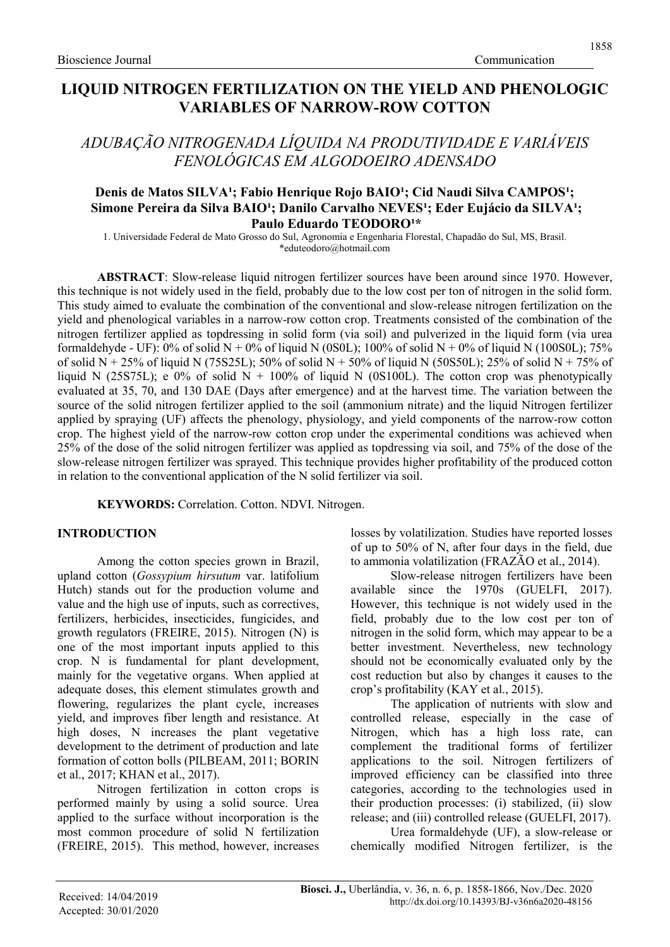# LIQUID NITROGEN FERTILIZATION ON THE YIELD AND PHENOLOGIC VARIABLES OF NARROW-ROW COTTON

ADUBAÇÃO NITROGENADA LÍQUIDA NA PRODUTIVIDADE E VARIÁVEIS FENOLÓGICAS EM ALGODOEIRO ADENSADO

### Denis de Matos SILVA<sup>1</sup>; Fabio Henrique Rojo BAIO<sup>1</sup>; Cid Naudi Silva CAMPOS<sup>1</sup>; Simone Pereira da Silva BAIO<sup>1</sup>; Danilo Carvalho NEVES<sup>1</sup>; Eder Eujácio da SILVA<sup>1</sup>; Paulo Eduardo TEODORO<sup>1\*</sup>

1. Universidade Federal de Mato Grosso do Sul, Agronomia e Engenharia Florestal, Chapadão do Sul, MS, Brasil. \*eduteodoro@hotmail.com

ABSTRACT: Slow-release liquid nitrogen fertilizer sources have been around since 1970. However, this technique is not widely used in the field, probably due to the low cost per ton of nitrogen in the solid form. This study aimed to evaluate the combination of the conventional and slow-release nitrogen fertilization on the yield and phenological variables in a narrow-row cotton crop. Treatments consisted of the combination of the nitrogen fertilizer applied as topdressing in solid form (via soil) and pulverized in the liquid form (via urea formaldehyde - UF): 0% of solid N + 0% of liquid N (0S0L); 100% of solid N + 0% of liquid N (100S0L); 75% of solid N + 25% of liquid N (75S25L); 50% of solid N + 50% of liquid N (50S50L); 25% of solid N + 75% of liquid N (25S75L); e 0% of solid N + 100% of liquid N (0S100L). The cotton crop was phenotypically evaluated at 35, 70, and 130 DAE (Days after emergence) and at the harvest time. The variation between the source of the solid nitrogen fertilizer applied to the soil (ammonium nitrate) and the liquid Nitrogen fertilizer applied by spraying (UF) affects the phenology, physiology, and yield components of the narrow-row cotton crop. The highest yield of the narrow-row cotton crop under the experimental conditions was achieved when 25% of the dose of the solid nitrogen fertilizer was applied as topdressing via soil, and 75% of the dose of the slow-release nitrogen fertilizer was sprayed. This technique provides higher profitability of the produced cotton in relation to the conventional application of the N solid fertilizer via soil.

KEYWORDS: Correlation. Cotton. NDVI. Nitrogen.

# INTRODUCTION

Among the cotton species grown in Brazil, upland cotton (Gossypium hirsutum var. latifolium Hutch) stands out for the production volume and value and the high use of inputs, such as correctives, fertilizers, herbicides, insecticides, fungicides, and growth regulators (FREIRE, 2015). Nitrogen (N) is one of the most important inputs applied to this crop. N is fundamental for plant development, mainly for the vegetative organs. When applied at adequate doses, this element stimulates growth and flowering, regularizes the plant cycle, increases yield, and improves fiber length and resistance. At high doses, N increases the plant vegetative development to the detriment of production and late formation of cotton bolls (PILBEAM, 2011; BORIN et al., 2017; KHAN et al., 2017).

Nitrogen fertilization in cotton crops is performed mainly by using a solid source. Urea applied to the surface without incorporation is the most common procedure of solid N fertilization (FREIRE, 2015). This method, however, increases losses by volatilization. Studies have reported losses of up to 50% of N, after four days in the field, due to ammonia volatilization (FRAZÃO et al., 2014).

Slow-release nitrogen fertilizers have been available since the 1970s (GUELFI, 2017). However, this technique is not widely used in the field, probably due to the low cost per ton of nitrogen in the solid form, which may appear to be a better investment. Nevertheless, new technology should not be economically evaluated only by the cost reduction but also by changes it causes to the crop's profitability (KAY et al., 2015).

The application of nutrients with slow and controlled release, especially in the case of Nitrogen, which has a high loss rate, can complement the traditional forms of fertilizer applications to the soil. Nitrogen fertilizers of improved efficiency can be classified into three categories, according to the technologies used in their production processes: (i) stabilized, (ii) slow release; and (iii) controlled release (GUELFI, 2017).

Urea formaldehyde (UF), a slow-release or chemically modified Nitrogen fertilizer, is the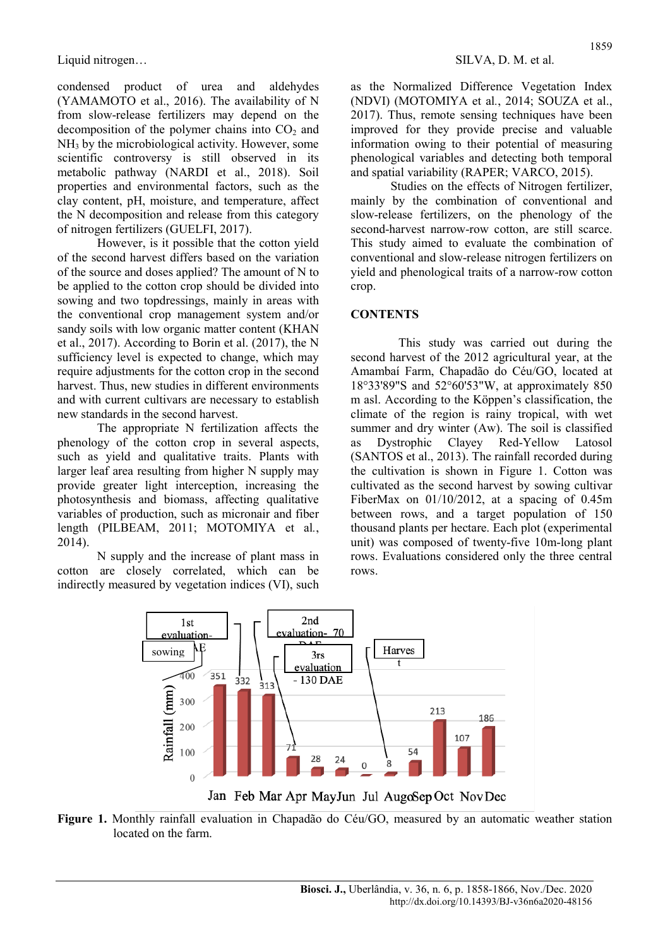condensed product of urea and aldehydes (YAMAMOTO et al., 2016). The availability of N from slow-release fertilizers may depend on the decomposition of the polymer chains into  $CO<sub>2</sub>$  and NH3 by the microbiological activity. However, some scientific controversy is still observed in its metabolic pathway (NARDI et al., 2018). Soil properties and environmental factors, such as the clay content, pH, moisture, and temperature, affect the N decomposition and release from this category of nitrogen fertilizers (GUELFI, 2017).

However, is it possible that the cotton yield of the second harvest differs based on the variation of the source and doses applied? The amount of N to be applied to the cotton crop should be divided into sowing and two topdressings, mainly in areas with the conventional crop management system and/or sandy soils with low organic matter content (KHAN et al., 2017). According to Borin et al. (2017), the N sufficiency level is expected to change, which may require adjustments for the cotton crop in the second harvest. Thus, new studies in different environments and with current cultivars are necessary to establish new standards in the second harvest.

The appropriate N fertilization affects the phenology of the cotton crop in several aspects, such as yield and qualitative traits. Plants with larger leaf area resulting from higher N supply may provide greater light interception, increasing the photosynthesis and biomass, affecting qualitative variables of production, such as micronair and fiber length (PILBEAM, 2011; MOTOMIYA et al., 2014).

N supply and the increase of plant mass in cotton are closely correlated, which can be indirectly measured by vegetation indices (VI), such as the Normalized Difference Vegetation Index (NDVI) (MOTOMIYA et al., 2014; SOUZA et al., 2017). Thus, remote sensing techniques have been improved for they provide precise and valuable information owing to their potential of measuring phenological variables and detecting both temporal and spatial variability (RAPER; VARCO, 2015).

Studies on the effects of Nitrogen fertilizer, mainly by the combination of conventional and slow-release fertilizers, on the phenology of the second-harvest narrow-row cotton, are still scarce. This study aimed to evaluate the combination of conventional and slow-release nitrogen fertilizers on yield and phenological traits of a narrow-row cotton crop.

#### **CONTENTS**

This study was carried out during the second harvest of the 2012 agricultural year, at the Amambaí Farm, Chapadão do Céu/GO, located at 18°33'89"S and 52°60'53"W, at approximately 850 m asl. According to the Köppen's classification, the climate of the region is rainy tropical, with wet summer and dry winter (Aw). The soil is classified as Dystrophic Clayey Red-Yellow Latosol (SANTOS et al., 2013). The rainfall recorded during the cultivation is shown in Figure 1. Cotton was cultivated as the second harvest by sowing cultivar FiberMax on 01/10/2012, at a spacing of 0.45m between rows, and a target population of 150 thousand plants per hectare. Each plot (experimental unit) was composed of twenty-five 10m-long plant rows. Evaluations considered only the three central rows.



Figure 1. Monthly rainfall evaluation in Chapadão do Céu/GO, measured by an automatic weather station located on the farm.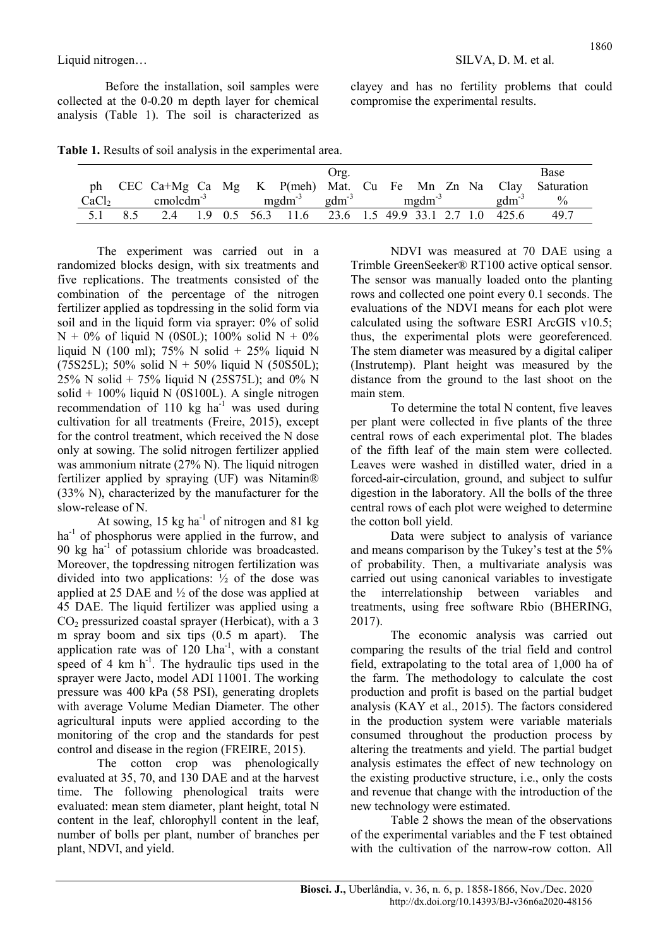Before the installation, soil samples were collected at the 0-0.20 m depth layer for chemical analysis (Table 1). The soil is characterized as clayey and has no fertility problems that could compromise the experimental results.

|  |  | Table 1. Results of soil analysis in the experimental area. |  |
|--|--|-------------------------------------------------------------|--|
|  |  |                                                             |  |

|                   |     |             |  |                                                                          | Org. |  |  |                   | Base                                                            |
|-------------------|-----|-------------|--|--------------------------------------------------------------------------|------|--|--|-------------------|-----------------------------------------------------------------|
|                   |     |             |  |                                                                          |      |  |  |                   | ph CEC Ca+Mg Ca Mg K P(meh) Mat. Cu Fe Mn Zn Na Clay Saturation |
| CaCl <sub>2</sub> |     | $cmolcdm-3$ |  | $mgdm^{-3}$ $gdm^{-3}$ $mgdm^{-3}$                                       |      |  |  | $\text{gdm}^{-3}$ | $\%$                                                            |
| 5.1               | 8.5 | 2.4         |  | $1.9 \t0.5 \t56.3 \t11.6 \t23.6 \t1.5 \t49.9 \t33.1 \t2.7 \t1.0 \t425.6$ |      |  |  |                   | 49.7                                                            |

The experiment was carried out in a randomized blocks design, with six treatments and five replications. The treatments consisted of the combination of the percentage of the nitrogen fertilizer applied as topdressing in the solid form via soil and in the liquid form via sprayer: 0% of solid  $N + 0\%$  of liquid N (0S0L); 100% solid  $N + 0\%$ liquid N (100 ml); 75% N solid + 25% liquid N  $(75S25L)$ ; 50% solid N + 50% liquid N (50S50L); 25% N solid + 75% liquid N (25S75L); and 0% N solid +  $100\%$  liquid N (0S100L). A single nitrogen recommendation of 110 kg  $ha^{-1}$  was used during cultivation for all treatments (Freire, 2015), except for the control treatment, which received the N dose only at sowing. The solid nitrogen fertilizer applied was ammonium nitrate (27% N). The liquid nitrogen fertilizer applied by spraying (UF) was Nitamin® (33% N), characterized by the manufacturer for the slow-release of N.

At sowing,  $15 \text{ kg ha}^{-1}$  of nitrogen and  $81 \text{ kg}$ ha<sup>-1</sup> of phosphorus were applied in the furrow, and 90  $kg$  ha<sup>-1</sup> of potassium chloride was broadcasted. Moreover, the topdressing nitrogen fertilization was divided into two applications: ½ of the dose was applied at 25 DAE and ½ of the dose was applied at 45 DAE. The liquid fertilizer was applied using a  $CO<sub>2</sub>$  pressurized coastal sprayer (Herbicat), with a 3 m spray boom and six tips (0.5 m apart). The application rate was of  $120$  Lha<sup>-1</sup>, with a constant speed of  $4 \text{ km h}^{-1}$ . The hydraulic tips used in the sprayer were Jacto, model ADI 11001. The working pressure was 400 kPa (58 PSI), generating droplets with average Volume Median Diameter. The other agricultural inputs were applied according to the monitoring of the crop and the standards for pest control and disease in the region (FREIRE, 2015).

The cotton crop was phenologically evaluated at 35, 70, and 130 DAE and at the harvest time. The following phenological traits were evaluated: mean stem diameter, plant height, total N content in the leaf, chlorophyll content in the leaf, number of bolls per plant, number of branches per plant, NDVI, and yield.

NDVI was measured at 70 DAE using a Trimble GreenSeeker® RT100 active optical sensor. The sensor was manually loaded onto the planting rows and collected one point every 0.1 seconds. The evaluations of the NDVI means for each plot were calculated using the software ESRI ArcGIS v10.5; thus, the experimental plots were georeferenced. The stem diameter was measured by a digital caliper (Instrutemp). Plant height was measured by the distance from the ground to the last shoot on the main stem.

To determine the total N content, five leaves per plant were collected in five plants of the three central rows of each experimental plot. The blades of the fifth leaf of the main stem were collected. Leaves were washed in distilled water, dried in a forced-air-circulation, ground, and subject to sulfur digestion in the laboratory. All the bolls of the three central rows of each plot were weighed to determine the cotton boll yield.

Data were subject to analysis of variance and means comparison by the Tukey's test at the 5% of probability. Then, a multivariate analysis was carried out using canonical variables to investigate the interrelationship between variables and treatments, using free software Rbio (BHERING, 2017).

The economic analysis was carried out comparing the results of the trial field and control field, extrapolating to the total area of 1,000 ha of the farm. The methodology to calculate the cost production and profit is based on the partial budget analysis (KAY et al., 2015). The factors considered in the production system were variable materials consumed throughout the production process by altering the treatments and yield. The partial budget analysis estimates the effect of new technology on the existing productive structure, i.e., only the costs and revenue that change with the introduction of the new technology were estimated.

Table 2 shows the mean of the observations of the experimental variables and the F test obtained with the cultivation of the narrow-row cotton. All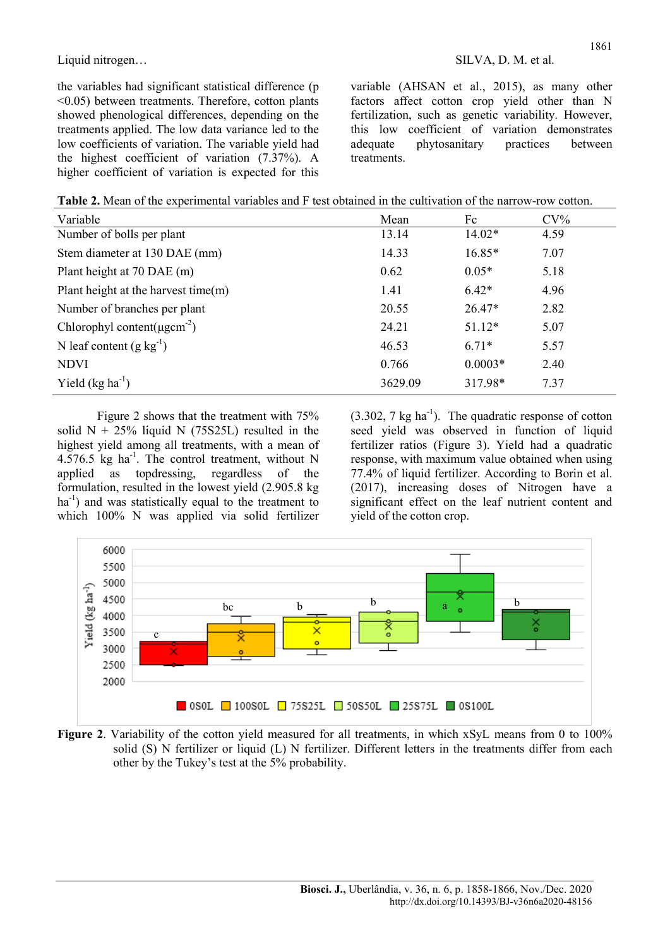the variables had significant statistical difference (p <0.05) between treatments. Therefore, cotton plants showed phenological differences, depending on the treatments applied. The low data variance led to the low coefficients of variation. The variable yield had the highest coefficient of variation (7.37%). A higher coefficient of variation is expected for this variable (AHSAN et al., 2015), as many other factors affect cotton crop yield other than N fertilization, such as genetic variability. However, this low coefficient of variation demonstrates<br>adequate phytosanitary practices between adequate phytosanitary practices between treatments.

| Table 2. Mean of the experimental variables and F test obtained in the cultivation of the narrow-row cotton. |  |
|--------------------------------------------------------------------------------------------------------------|--|
|--------------------------------------------------------------------------------------------------------------|--|

| Variable                                      | Mean    | Fc        | $CV\%$ |
|-----------------------------------------------|---------|-----------|--------|
| Number of bolls per plant                     | 13.14   | $14.02*$  | 4.59   |
| Stem diameter at 130 DAE (mm)                 | 14.33   | $16.85*$  | 7.07   |
| Plant height at 70 DAE (m)                    | 0.62    | $0.05*$   | 5.18   |
| Plant height at the harvest time $(m)$        | 1.41    | $6.42*$   | 4.96   |
| Number of branches per plant                  | 20.55   | $26.47*$  | 2.82   |
| Chlorophyl content( $\mu$ gcm <sup>-2</sup> ) | 24.21   | $51.12*$  | 5.07   |
| N leaf content $(g kg^{-1})$                  | 46.53   | $6.71*$   | 5.57   |
| <b>NDVI</b>                                   | 0.766   | $0.0003*$ | 2.40   |
| Yield $(kg ha^{-1})$                          | 3629.09 | 317.98*   | 7.37   |

Figure 2 shows that the treatment with 75% solid  $N + 25\%$  liquid N (75S25L) resulted in the highest yield among all treatments, with a mean of 4.576.5  $kg$  ha<sup>-1</sup>. The control treatment, without N applied as topdressing, regardless of the formulation, resulted in the lowest yield (2.905.8 kg  $ha^{-1}$ ) and was statistically equal to the treatment to which 100% N was applied via solid fertilizer  $(3.302, 7 \text{ kg ha}^{-1})$ . The quadratic response of cotton seed yield was observed in function of liquid fertilizer ratios (Figure 3). Yield had a quadratic response, with maximum value obtained when using 77.4% of liquid fertilizer. According to Borin et al. (2017), increasing doses of Nitrogen have a significant effect on the leaf nutrient content and yield of the cotton crop.



Figure 2. Variability of the cotton yield measured for all treatments, in which xSyL means from 0 to 100% solid (S) N fertilizer or liquid (L) N fertilizer. Different letters in the treatments differ from each other by the Tukey's test at the 5% probability.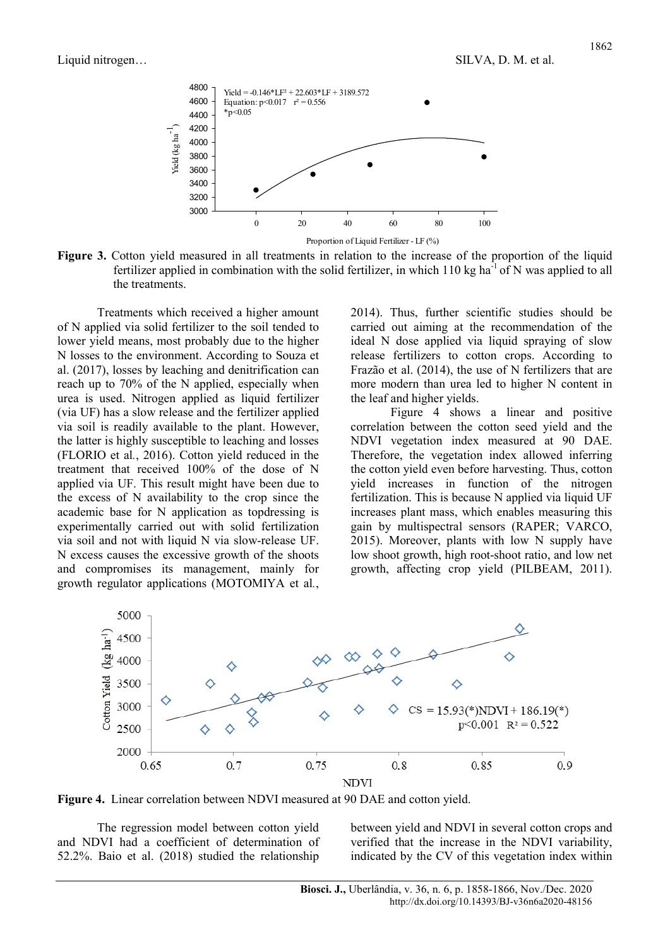

Figure 3. Cotton yield measured in all treatments in relation to the increase of the proportion of the liquid fertilizer applied in combination with the solid fertilizer, in which 110 kg ha<sup>-1</sup> of N was applied to all the treatments.

Treatments which received a higher amount of N applied via solid fertilizer to the soil tended to lower yield means, most probably due to the higher N losses to the environment. According to Souza et al. (2017), losses by leaching and denitrification can reach up to 70% of the N applied, especially when urea is used. Nitrogen applied as liquid fertilizer (via UF) has a slow release and the fertilizer applied via soil is readily available to the plant. However, the latter is highly susceptible to leaching and losses (FLORIO et al., 2016). Cotton yield reduced in the treatment that received 100% of the dose of N applied via UF. This result might have been due to the excess of N availability to the crop since the academic base for N application as topdressing is experimentally carried out with solid fertilization via soil and not with liquid N via slow-release UF. N excess causes the excessive growth of the shoots and compromises its management, mainly for growth regulator applications (MOTOMIYA et al., 2014). Thus, further scientific studies should be carried out aiming at the recommendation of the ideal N dose applied via liquid spraying of slow release fertilizers to cotton crops. According to Frazão et al. (2014), the use of N fertilizers that are more modern than urea led to higher N content in the leaf and higher yields.

Figure 4 shows a linear and positive correlation between the cotton seed yield and the NDVI vegetation index measured at 90 DAE. Therefore, the vegetation index allowed inferring the cotton yield even before harvesting. Thus, cotton yield increases in function of the nitrogen fertilization. This is because N applied via liquid UF increases plant mass, which enables measuring this gain by multispectral sensors (RAPER; VARCO, 2015). Moreover, plants with low N supply have low shoot growth, high root-shoot ratio, and low net growth, affecting crop yield (PILBEAM, 2011).



Figure 4. Linear correlation between NDVI measured at 90 DAE and cotton yield.

The regression model between cotton yield and NDVI had a coefficient of determination of 52.2%. Baio et al. (2018) studied the relationship between yield and NDVI in several cotton crops and verified that the increase in the NDVI variability, indicated by the CV of this vegetation index within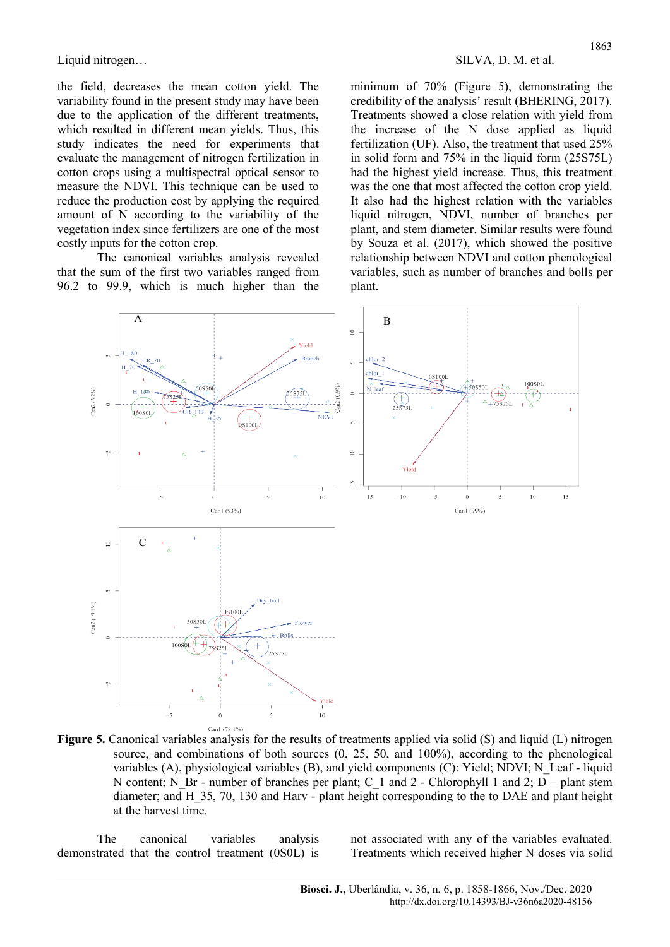the field, decreases the mean cotton yield. The variability found in the present study may have been due to the application of the different treatments, which resulted in different mean yields. Thus, this study indicates the need for experiments that evaluate the management of nitrogen fertilization in cotton crops using a multispectral optical sensor to measure the NDVI. This technique can be used to reduce the production cost by applying the required amount of N according to the variability of the vegetation index since fertilizers are one of the most costly inputs for the cotton crop.

The canonical variables analysis revealed that the sum of the first two variables ranged from 96.2 to 99.9, which is much higher than the minimum of 70% (Figure 5), demonstrating the credibility of the analysis' result (BHERING, 2017). Treatments showed a close relation with yield from the increase of the N dose applied as liquid fertilization (UF). Also, the treatment that used 25% in solid form and 75% in the liquid form (25S75L) had the highest yield increase. Thus, this treatment was the one that most affected the cotton crop yield. It also had the highest relation with the variables liquid nitrogen, NDVI, number of branches per plant, and stem diameter. Similar results were found by Souza et al. (2017), which showed the positive relationship between NDVI and cotton phenological variables, such as number of branches and bolls per plant.



Figure 5. Canonical variables analysis for the results of treatments applied via solid (S) and liquid (L) nitrogen source, and combinations of both sources (0, 25, 50, and 100%), according to the phenological variables (A), physiological variables (B), and yield components (C): Yield; NDVI; N\_Leaf - liquid N content; N\_Br - number of branches per plant; C\_1 and 2 - Chlorophyll 1 and 2;  $\overline{D}$  – plant stem diameter; and H\_35, 70, 130 and Harv - plant height corresponding to the to DAE and plant height at the harvest time.

The canonical variables analysis demonstrated that the control treatment (0S0L) is not associated with any of the variables evaluated. Treatments which received higher N doses via solid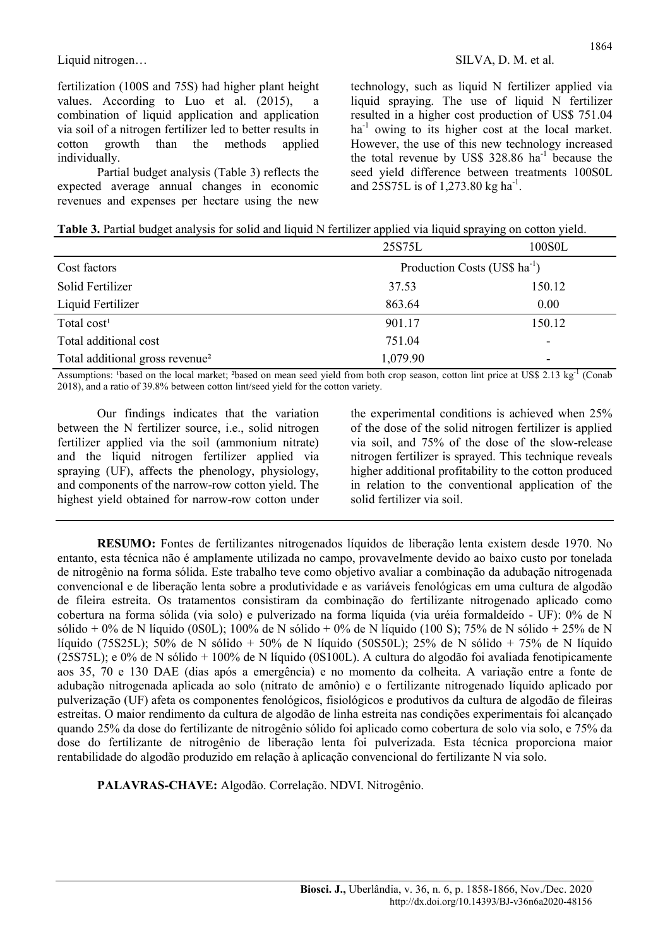fertilization (100S and 75S) had higher plant height values. According to Luo et al.  $(2015)$ , combination of liquid application and application via soil of a nitrogen fertilizer led to better results in cotton growth than the methods applied individually.

Partial budget analysis (Table 3) reflects the expected average annual changes in economic revenues and expenses per hectare using the new

technology, such as liquid N fertilizer applied via liquid spraying. The use of liquid N fertilizer resulted in a higher cost production of US\$ 751.04  $ha^{-1}$  owing to its higher cost at the local market. However, the use of this new technology increased the total revenue by US\$ 328.86 ha<sup>-1</sup> because the seed yield difference between treatments 100S0L and 25S75L is of 1,273.80 kg ha<sup>-1</sup>.

| Table 3. Partial budget analysis for solid and liquid N fertilizer applied via liquid spraying on cotton yield. |
|-----------------------------------------------------------------------------------------------------------------|
|-----------------------------------------------------------------------------------------------------------------|

|                                             | 25S75L                                    | 100S0L |
|---------------------------------------------|-------------------------------------------|--------|
| Cost factors                                | Production Costs (US\$ ha <sup>-1</sup> ) |        |
| Solid Fertilizer                            | 37.53                                     | 150.12 |
| Liquid Fertilizer                           | 863.64                                    | 0.00   |
| Total $cost1$                               | 901.17                                    | 150.12 |
| Total additional cost                       | 751.04                                    |        |
| Total additional gross revenue <sup>2</sup> | 1,079.90                                  | ۰      |

Assumptions: 'based on the local market; <sup>2</sup>based on mean seed yield from both crop season, cotton lint price at US\$ 2.13 kg<sup>-1</sup> (Conab 2018), and a ratio of 39.8% between cotton lint/seed yield for the cotton variety.

Our findings indicates that the variation between the N fertilizer source, i.e., solid nitrogen fertilizer applied via the soil (ammonium nitrate) and the liquid nitrogen fertilizer applied via spraying (UF), affects the phenology, physiology, and components of the narrow-row cotton yield. The highest yield obtained for narrow-row cotton under the experimental conditions is achieved when 25% of the dose of the solid nitrogen fertilizer is applied via soil, and 75% of the dose of the slow-release nitrogen fertilizer is sprayed. This technique reveals higher additional profitability to the cotton produced in relation to the conventional application of the solid fertilizer via soil.

RESUMO: Fontes de fertilizantes nitrogenados líquidos de liberação lenta existem desde 1970. No entanto, esta técnica não é amplamente utilizada no campo, provavelmente devido ao baixo custo por tonelada de nitrogênio na forma sólida. Este trabalho teve como objetivo avaliar a combinação da adubação nitrogenada convencional e de liberação lenta sobre a produtividade e as variáveis fenológicas em uma cultura de algodão de fileira estreita. Os tratamentos consistiram da combinação do fertilizante nitrogenado aplicado como cobertura na forma sólida (via solo) e pulverizado na forma líquida (via uréia formaldeído - UF): 0% de N sólido + 0% de N líquido (0S0L); 100% de N sólido + 0% de N líquido (100 S); 75% de N sólido + 25% de N líquido (75S25L); 50% de N sólido + 50% de N líquido (50S50L); 25% de N sólido + 75% de N líquido (25S75L); e 0% de N sólido + 100% de N líquido (0S100L). A cultura do algodão foi avaliada fenotipicamente aos 35, 70 e 130 DAE (dias após a emergência) e no momento da colheita. A variação entre a fonte de adubação nitrogenada aplicada ao solo (nitrato de amônio) e o fertilizante nitrogenado líquido aplicado por pulverização (UF) afeta os componentes fenológicos, fisiológicos e produtivos da cultura de algodão de fileiras estreitas. O maior rendimento da cultura de algodão de linha estreita nas condições experimentais foi alcançado quando 25% da dose do fertilizante de nitrogênio sólido foi aplicado como cobertura de solo via solo, e 75% da dose do fertilizante de nitrogênio de liberação lenta foi pulverizada. Esta técnica proporciona maior rentabilidade do algodão produzido em relação à aplicação convencional do fertilizante N via solo.

PALAVRAS-CHAVE: Algodão. Correlação. NDVI. Nitrogênio.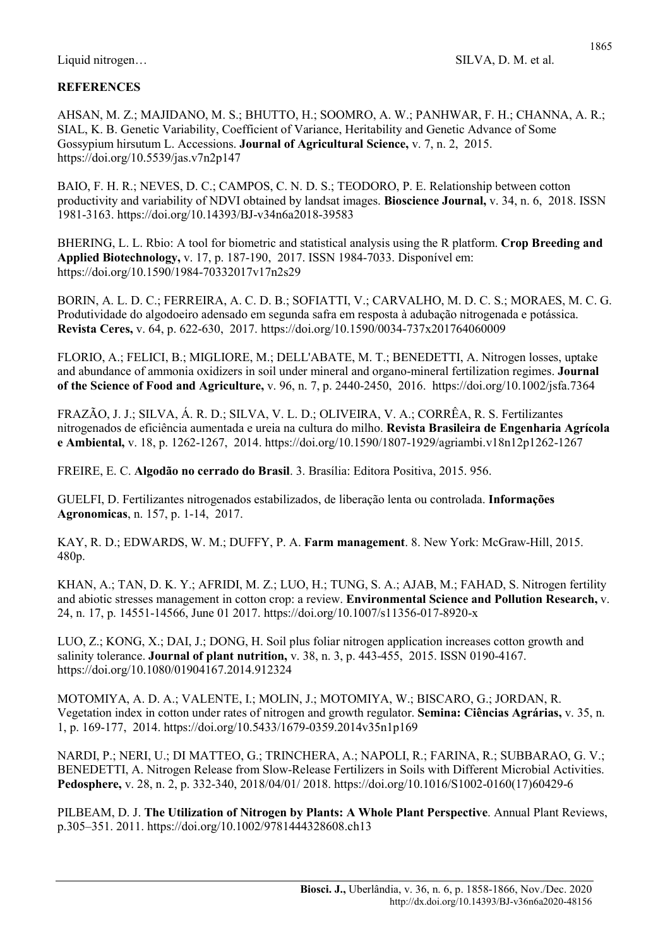## **REFERENCES**

AHSAN, M. Z.; MAJIDANO, M. S.; BHUTTO, H.; SOOMRO, A. W.; PANHWAR, F. H.; CHANNA, A. R.; SIAL, K. B. Genetic Variability, Coefficient of Variance, Heritability and Genetic Advance of Some Gossypium hirsutum L. Accessions. Journal of Agricultural Science, v. 7, n. 2, 2015. https://doi.org/10.5539/jas.v7n2p147

BAIO, F. H. R.; NEVES, D. C.; CAMPOS, C. N. D. S.; TEODORO, P. E. Relationship between cotton productivity and variability of NDVI obtained by landsat images. Bioscience Journal, v. 34, n. 6, 2018. ISSN 1981-3163. https://doi.org/10.14393/BJ-v34n6a2018-39583

BHERING, L. L. Rbio: A tool for biometric and statistical analysis using the R platform. Crop Breeding and Applied Biotechnology, v. 17, p. 187-190, 2017. ISSN 1984-7033. Disponível em: https://doi.org/10.1590/1984-70332017v17n2s29

BORIN, A. L. D. C.; FERREIRA, A. C. D. B.; SOFIATTI, V.; CARVALHO, M. D. C. S.; MORAES, M. C. G. Produtividade do algodoeiro adensado em segunda safra em resposta à adubação nitrogenada e potássica. Revista Ceres, v. 64, p. 622-630, 2017. https://doi.org/10.1590/0034-737x201764060009

FLORIO, A.; FELICI, B.; MIGLIORE, M.; DELL'ABATE, M. T.; BENEDETTI, A. Nitrogen losses, uptake and abundance of ammonia oxidizers in soil under mineral and organo-mineral fertilization regimes. Journal of the Science of Food and Agriculture, v. 96, n. 7, p. 2440-2450, 2016. https://doi.org/10.1002/jsfa.7364

FRAZÃO, J. J.; SILVA, Á. R. D.; SILVA, V. L. D.; OLIVEIRA, V. A.; CORRÊA, R. S. Fertilizantes nitrogenados de eficiência aumentada e ureia na cultura do milho. Revista Brasileira de Engenharia Agrícola e Ambiental, v. 18, p. 1262-1267, 2014. https://doi.org/10.1590/1807-1929/agriambi.v18n12p1262-1267

FREIRE, E. C. Algodão no cerrado do Brasil. 3. Brasília: Editora Positiva, 2015. 956.

GUELFI, D. Fertilizantes nitrogenados estabilizados, de liberação lenta ou controlada. Informações Agronomicas, n. 157, p. 1-14, 2017.

KAY, R. D.; EDWARDS, W. M.; DUFFY, P. A. Farm management. 8. New York: McGraw-Hill, 2015. 480p.

KHAN, A.; TAN, D. K. Y.; AFRIDI, M. Z.; LUO, H.; TUNG, S. A.; AJAB, M.; FAHAD, S. Nitrogen fertility and abiotic stresses management in cotton crop: a review. Environmental Science and Pollution Research, v. 24, n. 17, p. 14551-14566, June 01 2017. https://doi.org/10.1007/s11356-017-8920-x

LUO, Z.; KONG, X.; DAI, J.; DONG, H. Soil plus foliar nitrogen application increases cotton growth and salinity tolerance. **Journal of plant nutrition,** v.  $38$ , n.  $3$ , p.  $443-455$ ,  $2015$ . ISSN 0190-4167. https://doi.org/10.1080/01904167.2014.912324

MOTOMIYA, A. D. A.; VALENTE, I.; MOLIN, J.; MOTOMIYA, W.; BISCARO, G.; JORDAN, R. Vegetation index in cotton under rates of nitrogen and growth regulator. Semina: Ciências Agrárias, v. 35, n. 1, p. 169-177, 2014. https://doi.org/10.5433/1679-0359.2014v35n1p169

NARDI, P.; NERI, U.; DI MATTEO, G.; TRINCHERA, A.; NAPOLI, R.; FARINA, R.; SUBBARAO, G. V.; BENEDETTI, A. Nitrogen Release from Slow-Release Fertilizers in Soils with Different Microbial Activities. Pedosphere, v. 28, n. 2, p. 332-340, 2018/04/01/ 2018. https://doi.org/10.1016/S1002-0160(17)60429-6

PILBEAM, D. J. The Utilization of Nitrogen by Plants: A Whole Plant Perspective. Annual Plant Reviews, p.305–351. 2011. https://doi.org/10.1002/9781444328608.ch13